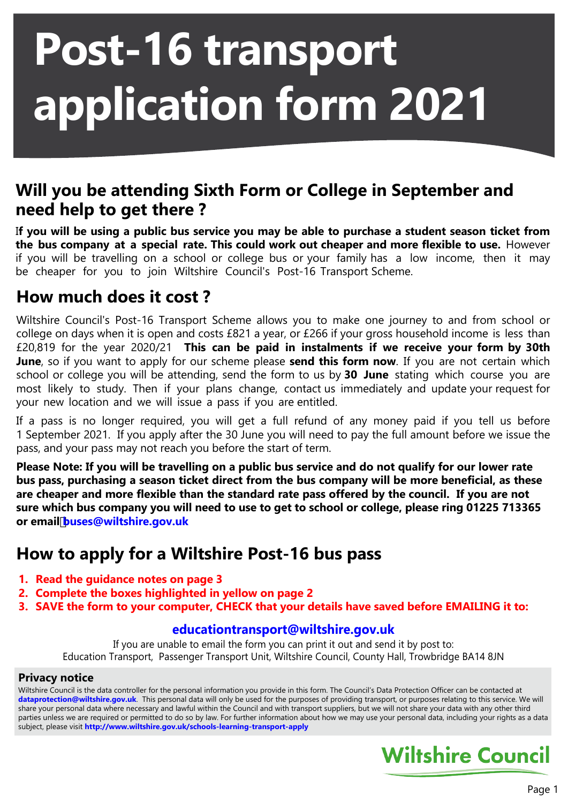# **Post-16 transport application form 2021**

### **Will you be attending Sixth Form or College in September and need help to get there ?**

I**f you will be using a public bus service you may be able to purchase a student season ticket from the bus company at a special rate. This could work out cheaper and more flexible to use.** However if you will be travelling on a school or college bus or your family has a low income, then it may be cheaper for you to join Wiltshire Council's Post-16 Transport Scheme.

### **How much does it cost ?**

Wiltshire Council's Post-16 Transport Scheme allows you to make one journey to and from school or college on days when it is open and costs £821 a year, or £266 if your gross household income is less than £20,819 for the year 2020/21 **This can be paid in instalments if we receive your form by 30th June**, so if you want to apply for our scheme please **send this form now**. If you are not certain which school or college you will be attending, send the form to us by **30 June** stating which course you are most likely to study. Then if your plans change, contact us immediately and update your request for your new location and we will issue a pass if you are entitled.

If a pass is no longer required, you will get a full refund of any money paid if you tell us before 1 September 2021. If you apply after the 30 June you will need to pay the full amount before we issue the pass, and your pass may not reach you before the start of term.

**Please Note: If you will be travelling on a public bus service and do not qualify for our lower rate bus pass, purchasing a season ticket direct from the bus company will be more beneficial, as these are cheaper and more flexible than the standard rate pass offered by the council. If you are not sure which bus company you will need to use to get to school or college, please ring 01225 713365 or emailbuses@wiltshire.gov.uk**

## **How to apply for a Wiltshire Post-16 bus pass**

- **1. Read the guidance notes on page 3**
- **2. Complete the boxes highlighted in yellow on page 2**
- **3. SAVE the form to your computer, CHECK that your details have saved before EMAILING it to:**

#### **educationtransport@wiltshire.gov.uk**

If you are unable to email the form you can print it out and send it by post to: Education Transport, Passenger Transport Unit, Wiltshire Council, County Hall, Trowbridge BA14 8JN

#### **Privacy notice**

Wiltshire Council is the data controller for the personal information you provide in this form. The Council's Data Protection Officer can be contacted at **dataprotection@wiltshire.gov.uk**. This personal data will only be used for the purposes of providing transport, or purposes relating to this service. We will share your personal data where necessary and lawful within the Council and with transport suppliers, but we will not share your data with any other third parties unless we are required or permitted to do so by law. For further information about how we may use your personal data, including your rights as a data subject, please visit **[http://www.wiltshire.gov.uk/schools-learning-transport-a](http://www.wiltshire.gov.uk/schools-learning-transport-apply)pply**

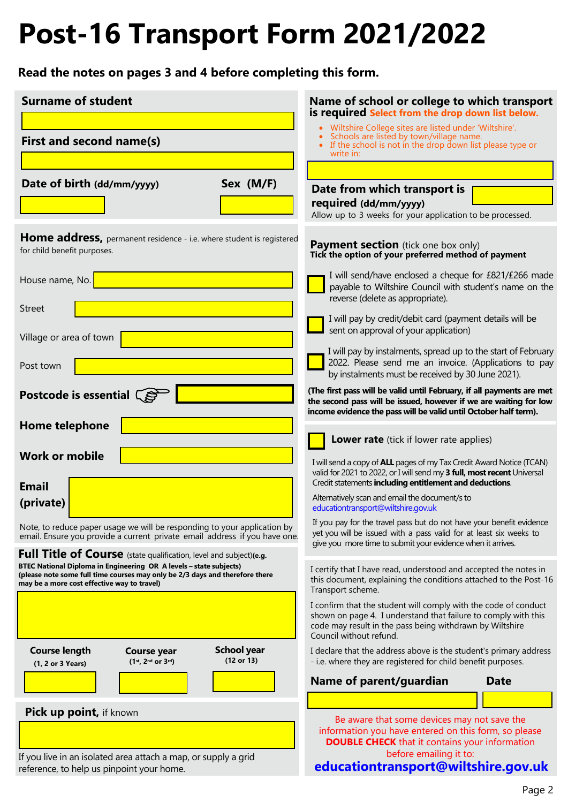# **Post-16 Transport Form 2021/2022**

**Read the notes on pages 3 and 4 before completing this form.**

| <b>Surname of student</b>                                                                                                                                                                                                                                               | Name of school or college to which transport<br>is required Select from the drop down list below.                                                                                                                        |
|-------------------------------------------------------------------------------------------------------------------------------------------------------------------------------------------------------------------------------------------------------------------------|--------------------------------------------------------------------------------------------------------------------------------------------------------------------------------------------------------------------------|
| First and second name(s)                                                                                                                                                                                                                                                | • Wiltshire College sites are listed under 'Wiltshire'.<br>Schools are listed by town/village name.<br>If the school is not in the drop down list please type or                                                         |
|                                                                                                                                                                                                                                                                         | write in:                                                                                                                                                                                                                |
| Sex (M/F)<br>Date of birth (dd/mm/yyyy)                                                                                                                                                                                                                                 | Date from which transport is                                                                                                                                                                                             |
|                                                                                                                                                                                                                                                                         | required (dd/mm/yyyy)<br>Allow up to 3 weeks for your application to be processed.                                                                                                                                       |
| Home address, permanent residence - i.e. where student is registered<br>for child benefit purposes.                                                                                                                                                                     | <b>Payment section</b> (tick one box only)<br>Tick the option of your preferred method of payment                                                                                                                        |
| House name, No.                                                                                                                                                                                                                                                         | I will send/have enclosed a cheque for £821/£266 made<br>payable to Wiltshire Council with student's name on the<br>reverse (delete as appropriate).                                                                     |
| <b>Street</b>                                                                                                                                                                                                                                                           | I will pay by credit/debit card (payment details will be<br>sent on approval of your application)                                                                                                                        |
| Village or area of town                                                                                                                                                                                                                                                 | I will pay by instalments, spread up to the start of February                                                                                                                                                            |
| Post town                                                                                                                                                                                                                                                               | 2022. Please send me an invoice. (Applications to pay<br>by instalments must be received by 30 June 2021).                                                                                                               |
| Postcode is essential $\widehat{\mathbb{S}}$                                                                                                                                                                                                                            | (The first pass will be valid until February, if all payments are met<br>the second pass will be issued, however if we are waiting for low<br>income evidence the pass will be valid until October half term).           |
| <b>Home telephone</b>                                                                                                                                                                                                                                                   |                                                                                                                                                                                                                          |
| <b>Work or mobile</b>                                                                                                                                                                                                                                                   | Lower rate (tick if lower rate applies)                                                                                                                                                                                  |
| <b>Email</b>                                                                                                                                                                                                                                                            | I will send a copy of ALL pages of my Tax Credit Award Notice (TCAN)<br>valid for 2021 to 2022, or I will send my 3 full, most recent Universal<br>Credit statements including entitlement and deductions.               |
| (private)                                                                                                                                                                                                                                                               | Alternatively scan and email the document/s to<br>educationtransport@wiltshire.gov.uk                                                                                                                                    |
| Note, to reduce paper usage we will be responding to your application by<br>email. Ensure you provide a current private email address if you have one.                                                                                                                  | If you pay for the travel pass but do not have your benefit evidence<br>yet you will be issued with a pass valid for at least six weeks to<br>give you more time to submit your evidence when it arrives.                |
| Full Title of Course (state qualification, level and subject)(e.g.<br>BTEC National Diploma in Engineering OR A levels - state subjects)<br>(please note some full time courses may only be 2/3 days and therefore there<br>may be a more cost effective way to travel) | I certify that I have read, understood and accepted the notes in<br>this document, explaining the conditions attached to the Post-16<br>Transport scheme.                                                                |
|                                                                                                                                                                                                                                                                         | I confirm that the student will comply with the code of conduct<br>shown on page 4. I understand that failure to comply with this<br>code may result in the pass being withdrawn by Wiltshire<br>Council without refund. |
| <b>School year</b><br><b>Course length</b><br><b>Course year</b><br>(12 or 13)<br>$(1^{st}, 2^{nd}$ or $3^{rd})$<br>(1, 2 or 3 Years)                                                                                                                                   | I declare that the address above is the student's primary address<br>- i.e. where they are registered for child benefit purposes.                                                                                        |
|                                                                                                                                                                                                                                                                         | Name of parent/guardian<br><b>Date</b>                                                                                                                                                                                   |
| Pick up point, if known                                                                                                                                                                                                                                                 |                                                                                                                                                                                                                          |
|                                                                                                                                                                                                                                                                         | Be aware that some devices may not save the<br>information you have entered on this form, so please<br><b>DOUBLE CHECK</b> that it contains your information                                                             |
| If you live in an isolated area attach a map, or supply a grid<br>reference, to help us pinpoint your home.                                                                                                                                                             | before emailing it to:<br>educationtransport@wiltshire.gov.uk                                                                                                                                                            |
|                                                                                                                                                                                                                                                                         |                                                                                                                                                                                                                          |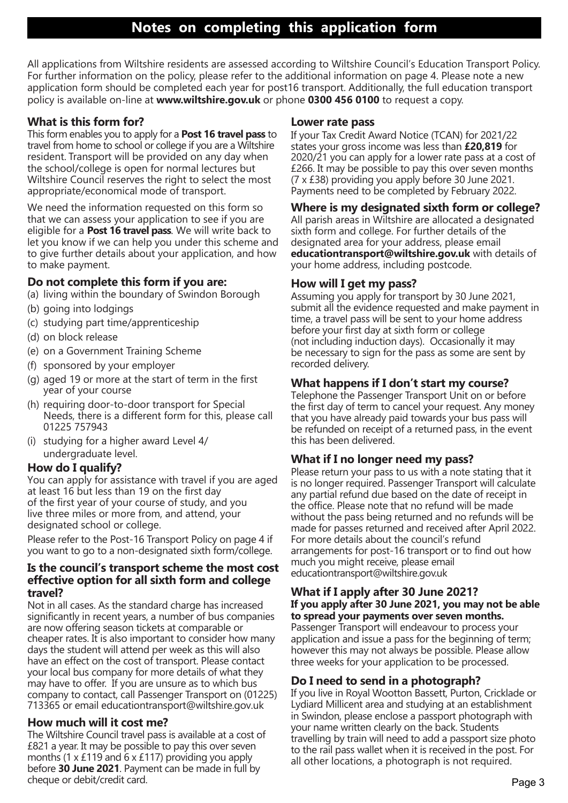All applications from Wiltshire residents are assessed according to Wiltshire Council's Education Transport Policy. For further information on the policy, please refer to the additional information on page 4. Please note a new application form should be completed each year for post16 transport. Additionally, the full education transport policy is available on-line at **www.wiltshire.gov.uk** or phone **0300 456 0100** to request a copy.

#### **What is this form for?**

This form enables you to apply for a **Post 16 travel pass** to travel from home to school or college if you are a Wiltshire resident. Transport will be provided on any day when the school/college is open for normal lectures but Wiltshire Council reserves the right to select the most appropriate/economical mode of transport.

We need the information requested on this form so that we can assess your application to see if you are eligible for a **Post 16 travel pass**. We will write back to let you know if we can help you under this scheme and to give further details about your application, and how to make payment.

#### **Do not complete this form if you are:**

(a) living within the boundary of Swindon Borough

- (b) going into lodgings
- (c) studying part time/apprenticeship
- (d) on block release
- (e) on a Government Training Scheme
- (f) sponsored by your employer
- (g) aged 19 or more at the start of term in the first year of your course
- (h) requiring door-to-door transport for Special Needs, there is a different form for this, please call 01225 757943
- (i) studying for a higher award Level 4/ undergraduate level.

#### **How do I qualify?**

You can apply for assistance with travel if you are aged at least 16 but less than 19 on the first day of the first year of your course of study, and you live three miles or more from, and attend, your designated school or college.

Please refer to the Post-16 Transport Policy on page 4 if you want to go to a non-designated sixth form/college.

#### **Is the council's transport scheme the most cost effective option for all sixth form and college travel?**

Not in all cases. As the standard charge has increased significantly in recent years, a number of bus companies are now offering season tickets at comparable or cheaper rates. It is also important to consider how many days the student will attend per week as this will also have an effect on the cost of transport. Please contact your local bus company for more details of what they may have to offer. If you are unsure as to which bus company to contact, call Passenger Transport on (01225) 713365 or email educationtransport@wiltshire.gov.uk

#### **How much will it cost me?**

The Wiltshire Council travel pass is available at a cost of £821 a year. It may be possible to pay this over seven months (1  $\times$  £119 and 6  $\times$  £117) providing you apply before **30 June 2021**. Payment can be made in full by cheque or debit/credit card.

#### **Lower rate pass**

If your Tax Credit Award Notice (TCAN) for 2021/22 states your gross income was less than **£20,819** for 2020/21 you can apply for a lower rate pass at a cost of £266. It may be possible to pay this over seven months (7 x £38) providing you apply before 30 June 2021. Payments need to be completed by February 2022.

#### **Where is my designated sixth form or college?**

All parish areas in Wiltshire are allocated a designated sixth form and college. For further details of the designated area for your address, please email **educationtransport@wiltshire.gov.uk** with details of your home address, including postcode.

#### **How will I get my pass?**

Assuming you apply for transport by 30 June 2021, submit all the evidence requested and make payment in time, a travel pass will be sent to your home address before your first day at sixth form or college (not including induction days). Occasionally it may be necessary to sign for the pass as some are sent by recorded delivery.

#### **What happens if I don't start my course?**

Telephone the Passenger Transport Unit on or before the first day of term to cancel your request. Any money that you have already paid towards your bus pass will be refunded on receipt of a returned pass, in the event this has been delivered.

#### **What if I no longer need my pass?**

Please return your pass to us with a note stating that it is no longer required. Passenger Transport will calculate any partial refund due based on the date of receipt in the office. Please note that no refund will be made without the pass being returned and no refunds will be made for passes returned and received after April 2022. For more details about the council's refund arrangements for post-16 transport or to find out how much you might receive, please email educationtransport@wiltshire.gov.uk

#### **What if I apply after 30 June 2021? If you apply after 30 June 2021, you may not be able to spread your payments over seven months.** Passenger Transport will endeavour to process your application and issue a pass for the beginning of term; however this may not always be possible. Please allow three weeks for your application to be processed.

#### **Do I need to send in a photograph?**

If you live in Royal Wootton Bassett, Purton, Cricklade or Lydiard Millicent area and studying at an establishment in Swindon, please enclose a passport photograph with your name written clearly on the back. Students travelling by train will need to add a passport size photo to the rail pass wallet when it is received in the post. For all other locations, a photograph is not required.